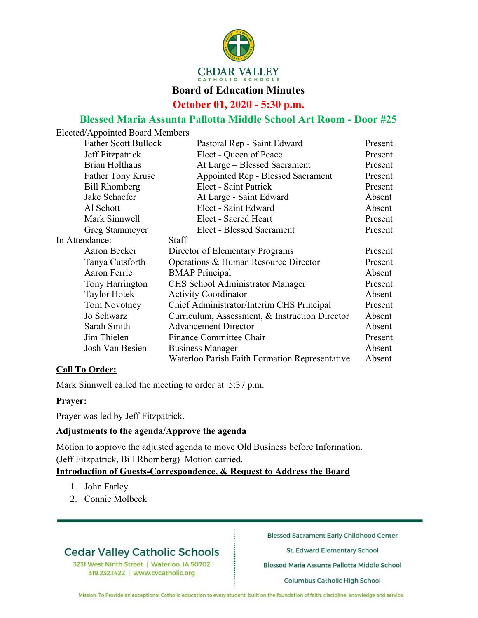

**October 01, 2020 - 5:30 p.m.**

## **Blessed Maria Assunta Pallotta Middle School Art Room - Door #25**

| Elected/Appointed Board Members |                                                |         |
|---------------------------------|------------------------------------------------|---------|
| <b>Father Scott Bullock</b>     | Pastoral Rep - Saint Edward                    | Present |
| Jeff Fitzpatrick                | Elect - Queen of Peace                         | Present |
| <b>Brian Holthaus</b>           | At Large – Blessed Sacrament                   | Present |
| <b>Father Tony Kruse</b>        | Appointed Rep - Blessed Sacrament              | Present |
| <b>Bill Rhomberg</b>            | Elect - Saint Patrick                          | Present |
| Jake Schaefer                   | At Large - Saint Edward                        | Absent  |
| Al Schott                       | Elect - Saint Edward                           | Absent  |
| Mark Sinnwell                   | Elect - Sacred Heart                           | Present |
| Greg Stammeyer                  | Elect - Blessed Sacrament                      | Present |
| In Attendance:                  | <b>Staff</b>                                   |         |
| Aaron Becker                    | Director of Elementary Programs                | Present |
| Tanya Cutsforth                 | Operations & Human Resource Director           | Present |
| Aaron Ferrie                    | <b>BMAP</b> Principal                          | Absent  |
| Tony Harrington                 | <b>CHS</b> School Administrator Manager        | Present |
| <b>Taylor Hotek</b>             | <b>Activity Coordinator</b>                    | Absent  |
| Tom Novotney                    | Chief Administrator/Interim CHS Principal      | Present |
| Jo Schwarz                      | Curriculum, Assessment, & Instruction Director | Absent  |
| Sarah Smith                     | <b>Advancement Director</b>                    | Absent  |
| Jim Thielen                     | Finance Committee Chair                        | Present |
| Josh Van Besien                 | <b>Business Manager</b>                        | Absent  |
|                                 | Waterloo Parish Faith Formation Representative | Absent  |

## **Call To Order:**

Mark Sinnwell called the meeting to order at 5:37 p.m.

## **Prayer:**

Prayer was led by Jeff Fitzpatrick.

## **Adjustments to the agenda/Approve the agenda**

Motion to approve the adjusted agenda to move Old Business before Information. (Jeff Fitzpatrick, Bill Rhomberg) Motion carried.

## **Introduction of Guests-Correspondence, & Request to Address the Board**

- 1. John Farley
- 2. Connie Molbeck

# **Cedar Valley Catholic Schools**

3231 West Ninth Street | Waterloo, IA 50702 319.232.1422 | www.cvcatholic.org

**Blessed Sacrament Early Childhood Center** 

St. Edward Elementary School

Blessed Maria Assunta Pallotta Middle School

Columbus Catholic High School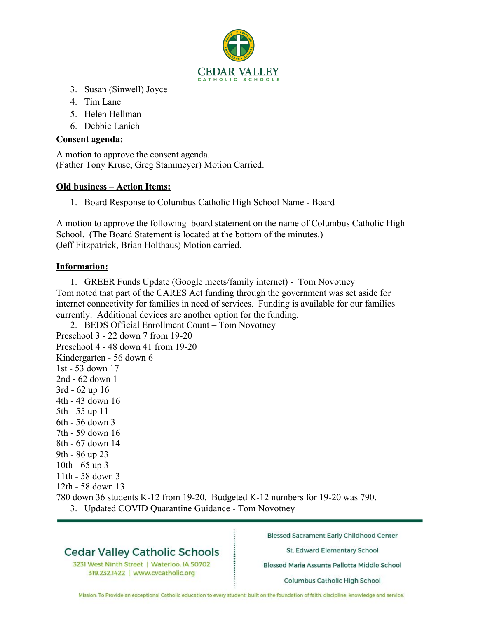

- 3. Susan (Sinwell) Joyce
- 4. Tim Lane
- 5. Helen Hellman
- 6. Debbie Lanich

#### **Consent agenda:**

A motion to approve the consent agenda. (Father Tony Kruse, Greg Stammeyer) Motion Carried.

### **Old business – Action Items:**

1. Board Response to Columbus Catholic High School Name - Board

A motion to approve the following board statement on the name of Columbus Catholic High School. (The Board Statement is located at the bottom of the minutes.) (Jeff Fitzpatrick, Brian Holthaus) Motion carried.

### **Information:**

1. GREER Funds Update (Google meets/family internet) - Tom Novotney Tom noted that part of the CARES Act funding through the government was set aside for internet connectivity for families in need of services. Funding is available for our families currently. Additional devices are another option for the funding.

2. BEDS Official Enrollment Count – Tom Novotney Preschool 3 - 22 down 7 from 19-20 Preschool 4 - 48 down 41 from 19-20 Kindergarten - 56 down 6 1st - 53 down 17 2nd - 62 down 1 3rd - 62 up 16 4th - 43 down 16 5th - 55 up 11 6th - 56 down 3 7th - 59 down 16 8th - 67 down 14 9th - 86 up 23 10th - 65 up 3 11th - 58 down 3 12th - 58 down 13

- 780 down 36 students K-12 from 19-20. Budgeted K-12 numbers for 19-20 was 790.
	- 3. Updated COVID Quarantine Guidance Tom Novotney

## **Cedar Valley Catholic Schools**

3231 West Ninth Street | Waterloo, IA 50702 319.232.1422 | www.cvcatholic.org

**Blessed Sacrament Early Childhood Center** 

St. Edward Elementary School

Blessed Maria Assunta Pallotta Middle School

Columbus Catholic High School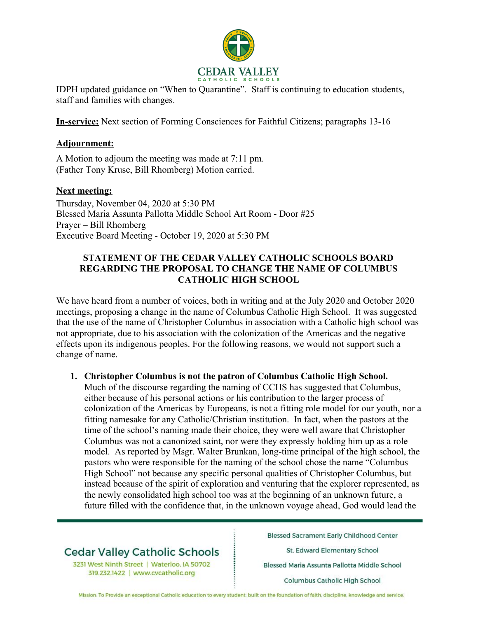

IDPH updated guidance on "When to Quarantine". Staff is continuing to education students, staff and families with changes.

**In-service:** Next section of Forming Consciences for Faithful Citizens; paragraphs 13-16

### **Adjournment:**

A Motion to adjourn the meeting was made at 7:11 pm. (Father Tony Kruse, Bill Rhomberg) Motion carried.

### **Next meeting:**

Thursday, November 04, 2020 at 5:30 PM Blessed Maria Assunta Pallotta Middle School Art Room - Door #25 Prayer – Bill Rhomberg Executive Board Meeting - October 19, 2020 at 5:30 PM

#### **STATEMENT OF THE CEDAR VALLEY CATHOLIC SCHOOLS BOARD REGARDING THE PROPOSAL TO CHANGE THE NAME OF COLUMBUS CATHOLIC HIGH SCHOOL**

We have heard from a number of voices, both in writing and at the July 2020 and October 2020 meetings, proposing a change in the name of Columbus Catholic High School. It was suggested that the use of the name of Christopher Columbus in association with a Catholic high school was not appropriate, due to his association with the colonization of the Americas and the negative effects upon its indigenous peoples. For the following reasons, we would not support such a change of name.

#### **1. Christopher Columbus is not the patron of Columbus Catholic High School.**

Much of the discourse regarding the naming of CCHS has suggested that Columbus, either because of his personal actions or his contribution to the larger process of colonization of the Americas by Europeans, is not a fitting role model for our youth, nor a fitting namesake for any Catholic/Christian institution. In fact, when the pastors at the time of the school's naming made their choice, they were well aware that Christopher Columbus was not a canonized saint, nor were they expressly holding him up as a role model. As reported by Msgr. Walter Brunkan, long-time principal of the high school, the pastors who were responsible for the naming of the school chose the name "Columbus High School" not because any specific personal qualities of Christopher Columbus, but instead because of the spirit of exploration and venturing that the explorer represented, as the newly consolidated high school too was at the beginning of an unknown future, a future filled with the confidence that, in the unknown voyage ahead, God would lead the

## **Cedar Valley Catholic Schools**

3231 West Ninth Street | Waterloo, IA 50702 319.232.1422 | www.cvcatholic.org

**Blessed Sacrament Early Childhood Center** 

St. Edward Elementary School

Blessed Maria Assunta Pallotta Middle School

Columbus Catholic High School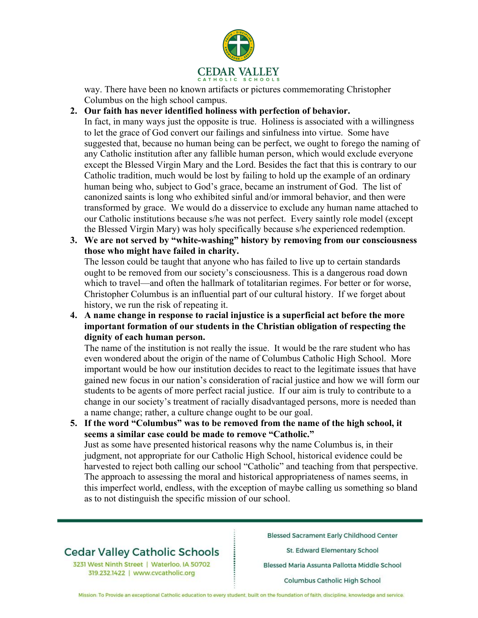

way. There have been no known artifacts or pictures commemorating Christopher Columbus on the high school campus.

#### **2. Our faith has never identified holiness with perfection of behavior.**

In fact, in many ways just the opposite is true. Holiness is associated with a willingness to let the grace of God convert our failings and sinfulness into virtue. Some have suggested that, because no human being can be perfect, we ought to forego the naming of any Catholic institution after any fallible human person, which would exclude everyone except the Blessed Virgin Mary and the Lord. Besides the fact that this is contrary to our Catholic tradition, much would be lost by failing to hold up the example of an ordinary human being who, subject to God's grace, became an instrument of God. The list of canonized saints is long who exhibited sinful and/or immoral behavior, and then were transformed by grace. We would do a disservice to exclude any human name attached to our Catholic institutions because s/he was not perfect. Every saintly role model (except the Blessed Virgin Mary) was holy specifically because s/he experienced redemption.

**3. We are not served by "white-washing" history by removing from our consciousness those who might have failed in charity.**

The lesson could be taught that anyone who has failed to live up to certain standards ought to be removed from our society's consciousness. This is a dangerous road down which to travel—and often the hallmark of totalitarian regimes. For better or for worse, Christopher Columbus is an influential part of our cultural history. If we forget about history, we run the risk of repeating it.

**4. A name change in response to racial injustice is a superficial act before the more important formation of our students in the Christian obligation of respecting the dignity of each human person.**

The name of the institution is not really the issue. It would be the rare student who has even wondered about the origin of the name of Columbus Catholic High School. More important would be how our institution decides to react to the legitimate issues that have gained new focus in our nation's consideration of racial justice and how we will form our students to be agents of more perfect racial justice. If our aim is truly to contribute to a change in our society's treatment of racially disadvantaged persons, more is needed than a name change; rather, a culture change ought to be our goal.

**5. If the word "Columbus" was to be removed from the name of the high school, it seems a similar case could be made to remove "Catholic."** Just as some have presented historical reasons why the name Columbus is, in their judgment, not appropriate for our Catholic High School, historical evidence could be harvested to reject both calling our school "Catholic" and teaching from that perspective. The approach to assessing the moral and historical appropriateness of names seems, in this imperfect world, endless, with the exception of maybe calling us something so bland as to not distinguish the specific mission of our school.

# **Cedar Valley Catholic Schools**

3231 West Ninth Street | Waterloo, IA 50702 319.232.1422 | www.cvcatholic.org

**Blessed Sacrament Early Childhood Center** 

St. Edward Elementary School

Blessed Maria Assunta Pallotta Middle School

Columbus Catholic High School